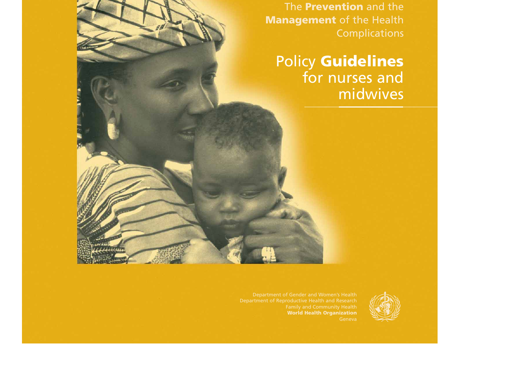The **Prevention** and the **Management** of the Health Complications

Policy **Guidelines** for nurses and midwives

Department of Gender and Women's Health **World Health Organization**

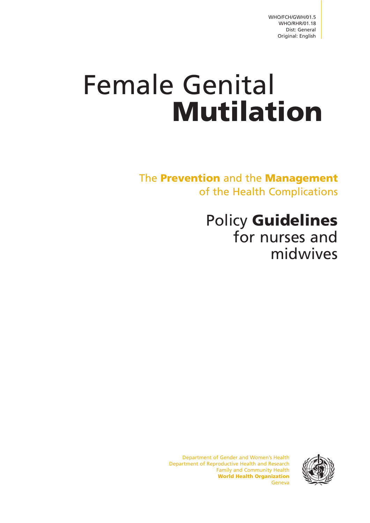# Female Genital **Mutilation**

The **Prevention** and the **Management** of the Health Complications

# Policy **Guidelines** for nurses and midwives

Department of Gender and Women's Health Department of Reproductive Health and Research Family and Community Health **World Health Organization** Geneva

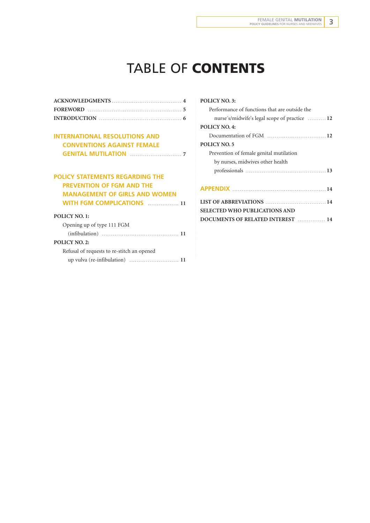# TABLE OF **CONTENTS**

| INTRODUCTION $\ldots$ |
|-----------------------|

#### **INTERNATIONAL RESOLUTIONS AND CONVENTIONS AGAINST FEMALE GENITAL MUTILATION** . . . . . . . . . . . . . . . . . . . . . . . . . . . . **7**

#### **POLICY STATEMENTS REGARDING THE PREVENTION OF FGM AND THE MANAGEMENT OF GIRLS AND WOMEN WITH FGM COMPLICATIONS** ................. 11

#### **POLICY NO. 1:**

| Opening up of type 111 FGM                                          |  |  |
|---------------------------------------------------------------------|--|--|
|                                                                     |  |  |
| <b>POLICY NO. 2:</b>                                                |  |  |
| Refusal of requests to re-stitch an opened                          |  |  |
| up vulva (re-infibulation) $\dots\dots\dots\dots\dots\dots\dots$ 11 |  |  |
|                                                                     |  |  |

| <b>POLICY NO. 3:</b>                          |  |  |
|-----------------------------------------------|--|--|
| Performance of functions that are outside the |  |  |
| nurse's/midwife's legal scope of practice  12 |  |  |
| <b>POLICY NO. 4:</b>                          |  |  |
|                                               |  |  |
| <b>POLICY NO. 5</b>                           |  |  |
| Prevention of female genital mutilation       |  |  |
| by nurses, midwives other health              |  |  |
|                                               |  |  |
|                                               |  |  |
|                                               |  |  |
| LIST OF ABBREVIATIONS  14                     |  |  |
| <b>SELECTED WHO PUBLICATIONS AND</b>          |  |  |
| DOCUMENTS OF RELATED INTEREST  14             |  |  |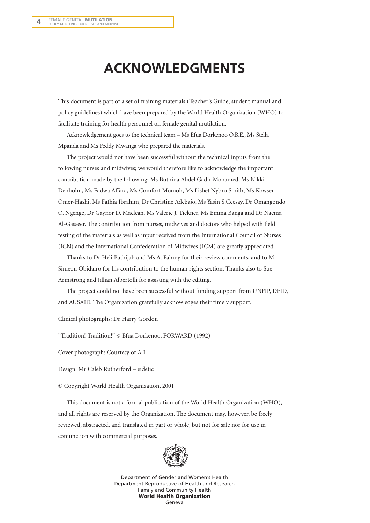## **ACKNOWLEDGMENTS**

This document is part of a set of training materials (Teacher's Guide, student manual and policy guidelines) which have been prepared by the World Health Organization (WHO) to facilitate training for health personnel on female genital mutilation.

Acknowledgement goes to the technical team – Ms Efua Dorkenoo O.B.E., Ms Stella Mpanda and Ms Feddy Mwanga who prepared the materials.

The project would not have been successful without the technical inputs from the following nurses and midwives; we would therefore like to acknowledge the important contribution made by the following: Ms Buthina Abdel Gadir Mohamed, Ms Nikki Denholm, Ms Fadwa Affara, Ms Comfort Momoh, Ms Lisbet Nybro Smith, Ms Kowser Omer-Hashi, Ms Fathia Ibrahim, Dr Christine Adebajo, Ms Yasin S.Ceesay, Dr Omangondo O. Ngenge, Dr Gaynor D. Maclean, Ms Valerie J. Tickner, Ms Emma Banga and Dr Naema Al-Gasseer. The contribution from nurses, midwives and doctors who helped with field testing of the materials as well as input received from the International Council of Nurses (ICN) and the International Confederation of Midwives (ICM) are greatly appreciated.

Thanks to Dr Heli Bathijah and Ms A. Fahmy for their review comments; and to Mr Simeon Obidairo for his contribution to the human rights section. Thanks also to Sue Armstrong and Jillian Albertolli for assisting with the editing.

The project could not have been successful without funding support from UNFIP, DFID, and AUSAID. The Organization gratefully acknowledges their timely support.

Clinical photographs: Dr Harry Gordon

"Tradition! Tradition!" © Efua Dorkenoo, FORWARD (1992)

Cover photograph: Courtesy of A.I.

Design: Mr Caleb Rutherford – eidetic

© Copyright World Health Organization, 2001

This document is not a formal publication of the World Health Organization (WHO), and all rights are reserved by the Organization. The document may, however, be freely reviewed, abstracted, and translated in part or whole, but not for sale nor for use in conjunction with commercial purposes.



Department of Gender and Women's Health Department Reproductive of Health and Research Family and Community Health **World Health Organization** Geneva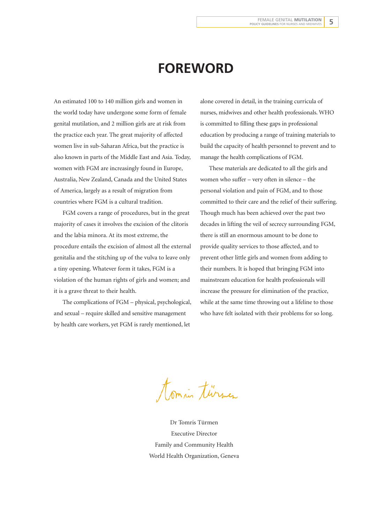### **FOREWORD**

An estimated 100 to 140 million girls and women in the world today have undergone some form of female genital mutilation, and 2 million girls are at risk from the practice each year. The great majority of affected women live in sub-Saharan Africa, but the practice is also known in parts of the Middle East and Asia. Today, women with FGM are increasingly found in Europe, Australia, New Zealand, Canada and the United States of America, largely as a result of migration from countries where FGM is a cultural tradition.

FGM covers a range of procedures, but in the great majority of cases it involves the excision of the clitoris and the labia minora. At its most extreme, the procedure entails the excision of almost all the external genitalia and the stitching up of the vulva to leave only a tiny opening. Whatever form it takes, FGM is a violation of the human rights of girls and women; and it is a grave threat to their health.

The complications of FGM – physical, psychological, and sexual – require skilled and sensitive management by health care workers, yet FGM is rarely mentioned, let alone covered in detail, in the training curricula of nurses, midwives and other health professionals. WHO is committed to filling these gaps in professional education by producing a range of training materials to build the capacity of health personnel to prevent and to manage the health complications of FGM.

These materials are dedicated to all the girls and women who suffer – very often in silence – the personal violation and pain of FGM, and to those committed to their care and the relief of their suffering. Though much has been achieved over the past two decades in lifting the veil of secrecy surrounding FGM, there is still an enormous amount to be done to provide quality services to those affected, and to prevent other little girls and women from adding to their numbers. It is hoped that bringing FGM into mainstream education for health professionals will increase the pressure for elimination of the practice, while at the same time throwing out a lifeline to those who have felt isolated with their problems for so long.

tomin turner

Dr Tomris Türmen Executive Director Family and Community Health World Health Organization, Geneva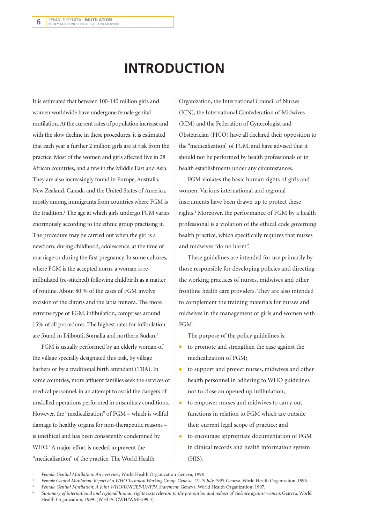# **INTRODUCTION**

It is estimated that between 100-140 million girls and women worldwide have undergone female genital mutilation. At the current rates of population increase and with the slow decline in these procedures, it is estimated that each year a further 2 million girls are at risk from the practice. Most of the women and girls affected live in 28 African countries, and a few in the Middle East and Asia. They are also increasingly found in Europe, Australia, New Zealand, Canada and the United States of America, mostly among immigrants from countries where FGM is the tradition.<sup>1</sup> The age at which girls undergo FGM varies enormously according to the ethnic group practising it. The procedure may be carried out when the girl is a newborn, during childhood, adolescence, at the time of marriage or during the first pregnancy. In some cultures, where FGM is the accepted norm, a woman is reinfibulated (re-stitched) following childbirth as a matter of routine. About 80 % of the cases of FGM involve excision of the clitoris and the labia minora. The more extreme type of FGM, infibulation, comprises around 15% of all procedures. The highest rates for infibulation are found in Djibouti, Somalia and northern Sudan.2

FGM is usually performed by an elderly woman of the village specially designated this task, by village barbers or by a traditional birth attendant (TBA). In some countries, more affluent families seek the services of medical personnel, in an attempt to avoid the dangers of unskilled operations performed in unsanitary conditions. However, the "medicalization" of FGM – which is willful damage to healthy organs for non-therapeutic reasons – is unethical and has been consistently condemned by WHO.<sup>3</sup> A major effort is needed to prevent the "medicalization" of the practice. The World Health

Organization, the International Council of Nurses (ICN), the International Confederation of Midwives (ICM) and the Federation of Gynecologist and Obstetrician (FIGO) have all declared their opposition to the "medicalization" of FGM, and have advised that it should not be performed by health professionals or in health establishments under any circumstances.

FGM violates the basic human rights of girls and women. Various international and regional instruments have been drawn up to protect these rights.<sup>4</sup> Moreover, the performance of FGM by a health professional is a violation of the ethical code governing health practice, which specifically requires that nurses and midwives "do no harm".

These guidelines are intended for use primarily by those responsible for developing policies and directing the working practices of nurses, midwives and other frontline health care providers. They are also intended to complement the training materials for nurses and midwives in the management of girls and women with FGM.

The purpose of the policy guidelines is:

- to promote and strengthen the case against the medicalization of FGM;
- to support and protect nurses, midwives and other health personnel in adhering to WHO guidelines not to close an opened up infibulation;
- to empower nurses and midwives to carry out functions in relation to FGM which are outside their current legal scope of practice; and
- to encourage appropriate documentation of FGM in clinical records and health information system (HIS).

<sup>1</sup> *Female Genital Mutilation: An overview*, World Health Organization Geneva, 1998

<sup>2</sup> *Female Genital Mutilation: Report of a WHO Technical Working Group. Geneva, 17–19 July 1995.* Geneva, World Health Organization, 1996.

<sup>3</sup> *Female Genital Mutilation: A Joint WHO/UNICEF/UNFPA Statement*. Geneva, World Health Organization, 1997.

<sup>4</sup> *Summary of international and regional human rights texts relevant to the prevention and redress of violence against women.* Geneva, World Health Organization, 1999. (WHO/GCWH/WMH/99.3)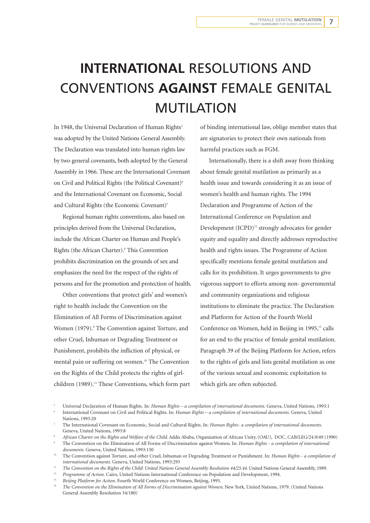# **INTERNATIONAL** RESOLUTIONS AND CONVENTIONS **AGAINST** FEMALE GENITAL MUTILATION

In 1948, the Universal Declaration of Human Rights<sup>5</sup> was adopted by the United Nations General Assembly. The Declaration was translated into human rights law by two general covenants, both adopted by the General Assembly in 1966. These are the International Covenant on Civil and Political Rights (the Political Covenant)<sup>6</sup> and the International Covenant on Economic, Social and Cultural Rights (the Economic Covenant)<sup>7</sup>

Regional human rights conventions, also based on principles derived from the Universal Declaration, include the African Charter on Human and People's Rights (the African Charter).8 This Convention prohibits discrimination on the grounds of sex and emphasizes the need for the respect of the rights of persons and for the promotion and protection of health.

Other conventions that protect girls' and women's right to health include the Convention on the Elimination of All Forms of Discrimination against Women (1979).<sup>9</sup> The Convention against Torture, and other Cruel, Inhuman or Degrading Treatment or Punishment, prohibits the infliction of physical, or mental pain or suffering on women.<sup>10</sup> The Convention on the Rights of the Child protects the rights of girlchildren (1989).<sup>11</sup> These Conventions, which form part of binding international law, oblige member states that are signatories to protect their own nationals from harmful practices such as FGM.

Internationally, there is a shift away from thinking about female genital mutilation as primarily as a health issue and towards considering it as an issue of women's health and human rights. The 1994 Declaration and Programme of Action of the International Conference on Population and Development  $(ICPD)^{12}$  strongly advocates for gender equity and equality and directly addresses reproductive health and rights issues. The Programme of Action specifically mentions female genital mutilation and calls for its prohibition. It urges governments to give vigorous support to efforts among non- governmental and community organizations and religious institutions to eliminate the practice. The Declaration and Platform for Action of the Fourth World Conference on Women, held in Beijing in 1995,<sup>13</sup> calls for an end to the practice of female genital mutilation. Paragraph 39 of the Beijing Platform for Action, refers to the rights of girls and lists genital mutilation as one of the various sexual and economic exploitation to which girls are often subjected.

<sup>11</sup> *The Convention on the Rights of the Child: United Nations General Assembly Resolution 44/25.44. United Nations General Assembly, 1989.*<br><sup>12</sup> Programme of Astine Geine United Nations Istemational Geoforman or Providen

<sup>13</sup> *Beijing Platform for Action.* Fourth World Conference on Women, Beijing, 1995.

<sup>5</sup> Universal Declaration of Human Rights. In*: Human Rights – a compilation of international documents.* Geneva, United Nations, 1993:1

<sup>6</sup> International Covenant on Civil and Political Rights. In: *Human Rights – a compilation of international documents.* Geneva, United Nations, 1993:20<br>The International Covenant on Economic, Social and Cultural Rights. In: *Human Rights- a compilation of international documents*.

Geneva, United Nations, 1993:8

<sup>8</sup> *African Charter on the Rights and Welfare of the Child*. Addis Ababa, Organization of African Unity, (OAU), DOC. CAB/LEG/24.9/49 (1990)

<sup>9</sup> The Convention on the Elimination of All Forms of Discrimination against Women. In: *Human Rights - a compilation of international*

*documents.* Geneva, United Nations, 1993:150 10 The Convention against Torture, and other Cruel, Inhuman or Degrading Treatment or Punishment. In: *Human Rights - a compilation of international documents.* Geneva, United Nations, 1993:293

<sup>&</sup>lt;sup>12</sup> *Programme of Action.* Cairo, United Nations International Conference on Population and Development, 1994.<br><sup>13</sup> *Reijing Platform for Action*. Fourth World Conference on Women, Beijing, 1995.

<sup>14</sup> *The Convention on the Elimination of All Forms of Discrimination against Women*. New York, United Nations, 1979. (United Nations General Assembly Resolution 34/180)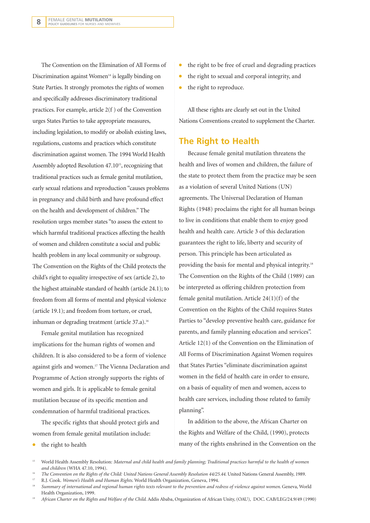The Convention on the Elimination of All Forms of Discrimination against Women $14$  is legally binding on State Parties. It strongly promotes the rights of women and specifically addresses discriminatory traditional practices. For example, article 2(f ) of the Convention urges States Parties to take appropriate measures, including legislation, to modify or abolish existing laws, regulations, customs and practices which constitute discrimination against women. The 1994 World Health Assembly adopted Resolution 47.1015, recognizing that traditional practices such as female genital mutilation, early sexual relations and reproduction "causes problems in pregnancy and child birth and have profound effect on the health and development of children." The resolution urges member states "to assess the extent to which harmful traditional practices affecting the health of women and children constitute a social and public health problem in any local community or subgroup. The Convention on the Rights of the Child protects the child's right to equality irrespective of sex (article 2), to the highest attainable standard of health (article 24.1); to freedom from all forms of mental and physical violence (article 19.1); and freedom from torture, or cruel, inhuman or degrading treatment (article 37.a).<sup>16</sup>

Female genital mutilation has recognized implications for the human rights of women and children. It is also considered to be a form of violence against girls and women.<sup>17</sup> The Vienna Declaration and Programme of Action strongly supports the rights of women and girls. It is applicable to female genital mutilation because of its specific mention and condemnation of harmful traditional practices.

The specific rights that should protect girls and women from female genital mutilation include:

the right to health

- the right to be free of cruel and degrading practices
- the right to sexual and corporal integrity, and
- the right to reproduce.

All these rights are clearly set out in the United Nations Conventions created to supplement the Charter.

#### **The Right to Health**

Because female genital mutilation threatens the health and lives of women and children, the failure of the state to protect them from the practice may be seen as a violation of several United Nations (UN) agreements. The Universal Declaration of Human Rights (1948) proclaims the right for all human beings to live in conditions that enable them to enjoy good health and health care. Article 3 of this declaration guarantees the right to life, liberty and security of person. This principle has been articulated as providing the basis for mental and physical integrity.18 The Convention on the Rights of the Child (1989) can be interpreted as offering children protection from female genital mutilation. Article 24(1)(f) of the Convention on the Rights of the Child requires States Parties to "develop preventive health care, guidance for parents, and family planning education and services". Article 12(1) of the Convention on the Elimination of All Forms of Discrimination Against Women requires that States Parties "eliminate discrimination against women in the field of health care in order to ensure, on a basis of equality of men and women, access to health care services, including those related to family planning".

In addition to the above, the African Charter on the Rights and Welfare of the Child, (1990), protects many of the rights enshrined in the Convention on the

- <sup>15</sup> World Health Assembly Resolution: *Maternal and child health and family planning; Traditional practices harmful to the health of women and children* (WHA 47.10, 1994).
- <sup>16</sup> *The Convention on the Rights of the Child: United Nations General Assembly Resolution 44/25.44.* United Nations General Assembly, 1989.
- <sup>17</sup> R.J. Cook. *Women's Health and Human Rights*. World Health Organization, Geneva, 1994.
- <sup>18</sup> *Summary of international and regional human rights texts relevant to the prevention and redress of violence against women*. Geneva, World Health Organization, 1999.
- <sup>19</sup> *African Charter on the Rights and Welfare of the Child. Addis Ababa, Organization of African Unity, (OAU), DOC. CAB/LEG/24.9/49 (1990)*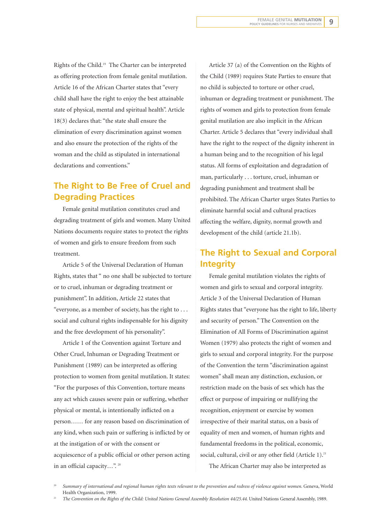Rights of the Child.19 The Charter can be interpreted as offering protection from female genital mutilation. Article 16 of the African Charter states that "every child shall have the right to enjoy the best attainable state of physical, mental and spiritual health". Article 18(3) declares that: "the state shall ensure the elimination of every discrimination against women and also ensure the protection of the rights of the woman and the child as stipulated in international declarations and conventions."

### **The Right to Be Free of Cruel and Degrading Practices**

Female genital mutilation constitutes cruel and degrading treatment of girls and women. Many United Nations documents require states to protect the rights of women and girls to ensure freedom from such treatment.

Article 5 of the Universal Declaration of Human Rights, states that " no one shall be subjected to torture or to cruel, inhuman or degrading treatment or punishment". In addition, Article 22 states that "everyone, as a member of society, has the right to . . . social and cultural rights indispensable for his dignity and the free development of his personality".

Article 1 of the Convention against Torture and Other Cruel, Inhuman or Degrading Treatment or Punishment (1989) can be interpreted as offering protection to women from genital mutilation. It states: "For the purposes of this Convention, torture means any act which causes severe pain or suffering, whether physical or mental, is intentionally inflicted on a person…… for any reason based on discrimination of any kind, when such pain or suffering is inflicted by or at the instigation of or with the consent or acquiescence of a public official or other person acting in an official capacity...".<sup>20</sup>

Article 37 (a) of the Convention on the Rights of the Child (1989) requires State Parties to ensure that no child is subjected to torture or other cruel, inhuman or degrading treatment or punishment. The rights of women and girls to protection from female genital mutilation are also implicit in the African Charter. Article 5 declares that "every individual shall have the right to the respect of the dignity inherent in a human being and to the recognition of his legal status. All forms of exploitation and degradation of man, particularly . . . torture, cruel, inhuman or degrading punishment and treatment shall be prohibited. The African Charter urges States Parties to eliminate harmful social and cultural practices affecting the welfare, dignity, normal growth and development of the child (article 21.1b).

### **The Right to Sexual and Corporal Integrity**

Female genital mutilation violates the rights of women and girls to sexual and corporal integrity. Article 3 of the Universal Declaration of Human Rights states that "everyone has the right to life, liberty and security of person." The Convention on the Elimination of All Forms of Discrimination against Women (1979) also protects the right of women and girls to sexual and corporal integrity. For the purpose of the Convention the term "discrimination against women" shall mean any distinction, exclusion, or restriction made on the basis of sex which has the effect or purpose of impairing or nullifying the recognition, enjoyment or exercise by women irrespective of their marital status, on a basis of equality of men and women, of human rights and fundamental freedoms in the political, economic, social, cultural, civil or any other field (Article 1).<sup>21</sup> The African Charter may also be interpreted as

<sup>20</sup> *Summary of international and regional human rights texts relevant to the prevention and redress of violence against women.* Geneva, World Health Organization, 1999.

<sup>21</sup> *The Convention on the Rights of the Child: United Nations General Assembly Resolution 44/25.44.* United Nations General Assembly, 1989.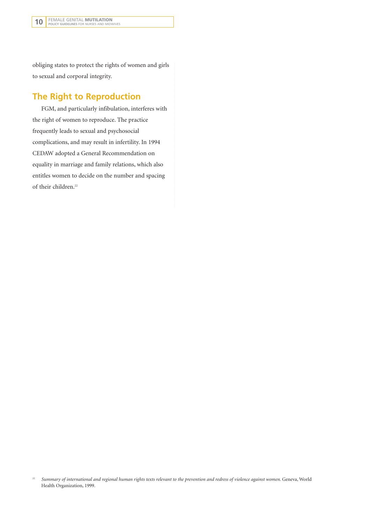obliging states to protect the rights of women and girls to sexual and corporal integrity.

### **The Right to Reproduction**

FGM, and particularly infibulation, interferes with the right of women to reproduce. The practice frequently leads to sexual and psychosocial complications, and may result in infertility. In 1994 CEDAW adopted a General Recommendation on equality in marriage and family relations, which also entitles women to decide on the number and spacing of their children.<sup>22</sup>

<sup>&</sup>lt;sup>22</sup> Summary of international and regional human rights texts relevant to the prevention and redress of violence against women. Geneva, World Health Organization, 1999.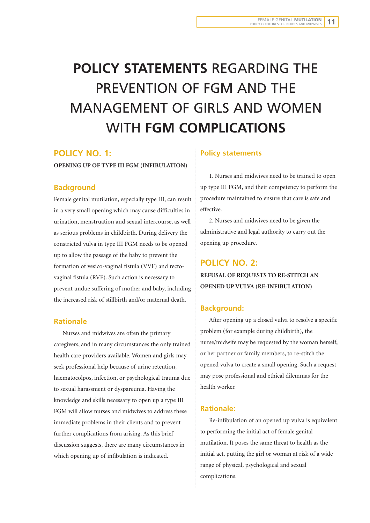# **POLICY STATEMENTS** REGARDING THE PREVENTION OF FGM AND THE MANAGEMENT OF GIRLS AND WOMEN WITH **FGM COMPLICATIONS**

#### **POLICY NO. 1:**

**OPENING UP OF TYPE III FGM (INFIBULATION)**

#### **Background**

Female genital mutilation, especially type III, can result in a very small opening which may cause difficulties in urination, menstruation and sexual intercourse, as well as serious problems in childbirth. During delivery the constricted vulva in type III FGM needs to be opened up to allow the passage of the baby to prevent the formation of vesico-vaginal fistula (VVF) and rectovaginal fistula (RVF). Such action is necessary to prevent undue suffering of mother and baby, including the increased risk of stillbirth and/or maternal death.

#### **Rationale**

Nurses and midwives are often the primary caregivers, and in many circumstances the only trained health care providers available. Women and girls may seek professional help because of urine retention, haematocolpos, infection, or psychological trauma due to sexual harassment or dyspareunia. Having the knowledge and skills necessary to open up a type III FGM will allow nurses and midwives to address these immediate problems in their clients and to prevent further complications from arising. As this brief discussion suggests, there are many circumstances in which opening up of infibulation is indicated.

#### **Policy statements**

1. Nurses and midwives need to be trained to open up type III FGM, and their competency to perform the procedure maintained to ensure that care is safe and effective.

2. Nurses and midwives need to be given the administrative and legal authority to carry out the opening up procedure.

### **POLICY NO. 2: REFUSAL OF REQUESTS TO RE-STITCH AN OPENED UP VULVA (RE-INFIBULATION)**

#### **Background:**

After opening up a closed vulva to resolve a specific problem (for example during childbirth), the nurse/midwife may be requested by the woman herself, or her partner or family members, to re-stitch the opened vulva to create a small opening. Such a request may pose professional and ethical dilemmas for the health worker.

#### **Rationale:**

Re-infibulation of an opened up vulva is equivalent to performing the initial act of female genital mutilation. It poses the same threat to health as the initial act, putting the girl or woman at risk of a wide range of physical, psychological and sexual complications.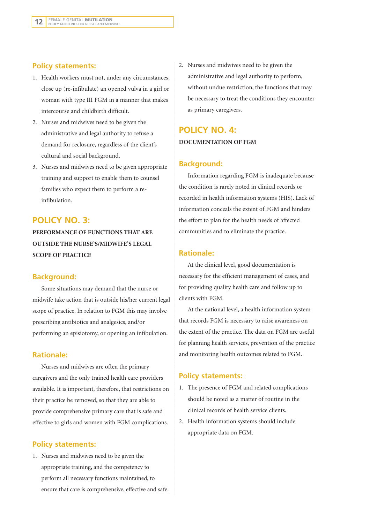#### **Policy statements:**

- 1. Health workers must not, under any circumstances, close up (re-infibulate) an opened vulva in a girl or woman with type III FGM in a manner that makes intercourse and childbirth difficult.
- 2. Nurses and midwives need to be given the administrative and legal authority to refuse a demand for reclosure, regardless of the client's cultural and social background.
- 3. Nurses and midwives need to be given appropriate training and support to enable them to counsel families who expect them to perform a reinfibulation.

### **POLICY NO. 3:**

**PERFORMANCE OF FUNCTIONS THAT ARE OUTSIDE THE NURSE'S/MIDWIFE'S LEGAL SCOPE OF PRACTICE**

#### **Background:**

Some situations may demand that the nurse or midwife take action that is outside his/her current legal scope of practice. In relation to FGM this may involve prescribing antibiotics and analgesics, and/or performing an episiotomy, or opening an infibulation.

#### **Rationale:**

Nurses and midwives are often the primary caregivers and the only trained health care providers available. It is important, therefore, that restrictions on their practice be removed, so that they are able to provide comprehensive primary care that is safe and effective to girls and women with FGM complications.

#### **Policy statements:**

1. Nurses and midwives need to be given the appropriate training, and the competency to perform all necessary functions maintained, to ensure that care is comprehensive, effective and safe. 2. Nurses and midwives need to be given the administrative and legal authority to perform, without undue restriction, the functions that may be necessary to treat the conditions they encounter as primary caregivers.

### **POLICY NO. 4: DOCUMENTATION OF FGM**

#### **Background:**

Information regarding FGM is inadequate because the condition is rarely noted in clinical records or recorded in health information systems (HIS). Lack of information conceals the extent of FGM and hinders the effort to plan for the health needs of affected communities and to eliminate the practice.

#### **Rationale:**

At the clinical level, good documentation is necessary for the efficient management of cases, and for providing quality health care and follow up to clients with FGM.

At the national level, a health information system that records FGM is necessary to raise awareness on the extent of the practice. The data on FGM are useful for planning health services, prevention of the practice and monitoring health outcomes related to FGM.

#### **Policy statements:**

- 1. The presence of FGM and related complications should be noted as a matter of routine in the clinical records of health service clients.
- 2. Health information systems should include appropriate data on FGM.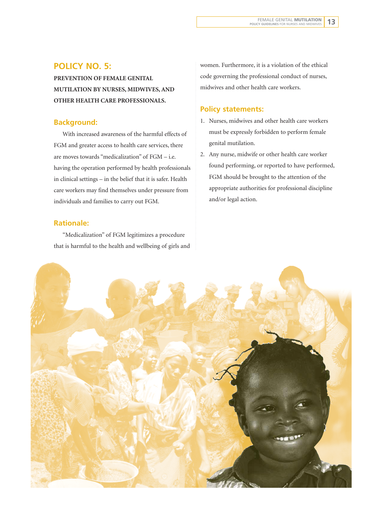### **POLICY NO. 5:**

**PREVENTION OF FEMALE GENITAL MUTILATION BY NURSES, MIDWIVES, AND OTHER HEALTH CARE PROFESSIONALS.**

#### **Background:**

With increased awareness of the harmful effects of FGM and greater access to health care services, there are moves towards "medicalization" of FGM – i.e. having the operation performed by health professionals in clinical settings – in the belief that it is safer. Health care workers may find themselves under pressure from individuals and families to carry out FGM.

#### **Rationale:**

"Medicalization" of FGM legitimizes a procedure that is harmful to the health and wellbeing of girls and women. Furthermore, it is a violation of the ethical code governing the professional conduct of nurses, midwives and other health care workers.

#### **Policy statements:**

- 1. Nurses, midwives and other health care workers must be expressly forbidden to perform female genital mutilation.
- 2. Any nurse, midwife or other health care worker found performing, or reported to have performed, FGM should be brought to the attention of the appropriate authorities for professional discipline and/or legal action.

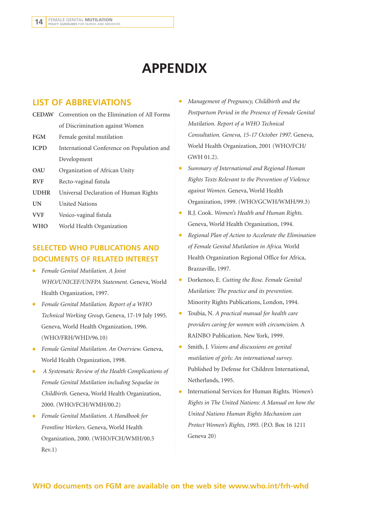# **APPENDIX**

### **LIST OF ABBREVIATIONS**

|             | <b>CEDAW</b> Convention on the Elimination of All Forms |
|-------------|---------------------------------------------------------|
|             | of Discrimination against Women                         |
| <b>FGM</b>  | Female genital mutilation                               |
| <b>ICPD</b> | International Conference on Population and              |
|             | Development                                             |
| OAU         | Organization of African Unity                           |
| <b>RVF</b>  | Recto-vaginal fistula                                   |
| <b>UDHR</b> | Universal Declaration of Human Rights                   |
| UN          | <b>United Nations</b>                                   |
| <b>VVF</b>  | Vesico-vaginal fistula                                  |
| <b>WHO</b>  | World Health Organization                               |

### **SELECTED WHO PUBLICATIONS AND DOCUMENTS OF RELATED INTEREST**

- *Female Genital Mutilation. A Joint WHO/UNICEF/UNFPA Statement.* Geneva, World Health Organization, 1997.
- *Female Genital Mutilation. Report of a WHO Technical Working Group*, Geneva, 17-19 July 1995. Geneva, World Health Organization, 1996. (WHO/FRH/WHD/96.10)
- *Female Genital Mutilation. An Overview.* Geneva, World Health Organization, 1998.
- *A Systematic Review of the Health Complications of Female Genital Mutilation including Sequelae in Childbirth.* Geneva, World Health Organization, 2000. (WHO/FCH/WMH/00.2)
- *Female Genital Mutilation. A Handbook for Frontline Workers.* Geneva, World Health Organization, 2000. (WHO/FCH/WMH/00.5 Rev.1)
- *Management of Pregnancy, Childbirth and the Postpartum Period in the Presence of Female Genital Mutilation. Report of a WHO Technical Consultation. Geneva, 15-17 October 1997*. Geneva, World Health Organization, 2001 (WHO/FCH/ GWH 01.2).
- *Summary of International and Regional Human Rights Texts Relevant to the Prevention of Violence against Women.* Geneva, World Health Organization, 1999. (WHO/GCWH/WMH/99.3)
- R.J. Cook. *Women's Health and Human Rights*. Geneva, World Health Organization, 1994.
- *Regional Plan of Action to Accelerate the Elimination of Female Genital Mutilation in Africa.* World Health Organization Regional Office for Africa, Brazzaville, 1997.
- Dorkenoo, E. *Cutting the Rose. Female Genital Mutilation: The practice and its prevention.* Minority Rights Publications, London, 1994.
- Toubia, N. *A practical manual for health care providers caring for women with circumcision.* A RAINBO Publication. New York, 1999.
- Smith, J. *Visions and discussions on genital mutilation of girls: An international survey.* Published by Defense for Children International, Netherlands, 1995.
- International Services for Human Rights. *Women's Rights in The United Nations: A Manual on how the United Nations Human Rights Mechanism can Protect Women's Rights, 1995.* (P.O. Box 16 1211 Geneva 20)

#### **WHO documents on FGM are available on the web site www.who.int/frh-whd**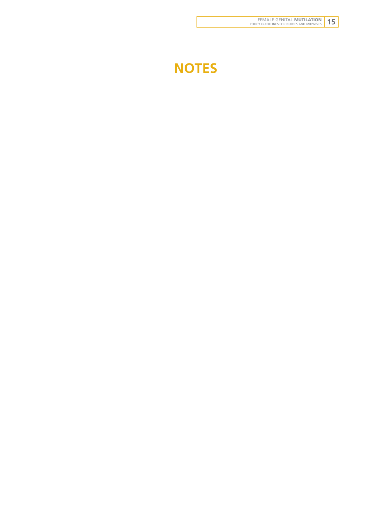# **NOTES**